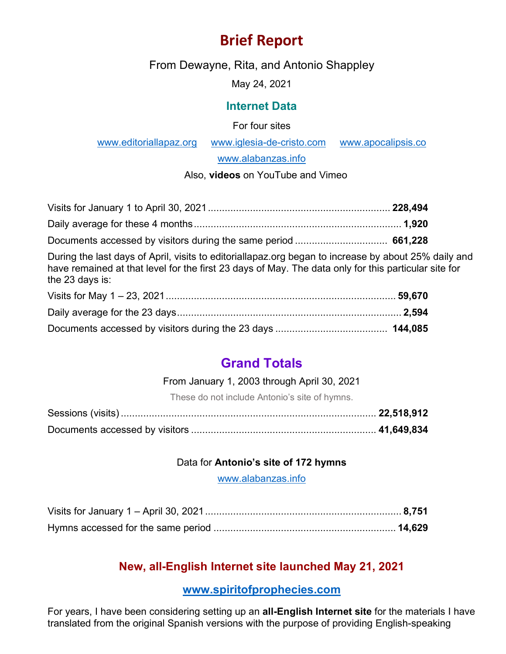# **Brief Report**

From Dewayne, Rita, and Antonio Shappley

May 24, 2021

#### **Internet Data**

For four sites

[www.editoriallapaz.org](http://www.editoriallapaz.org/) [www.iglesia-de-cristo.com](http://www.iglesia-de-cristo.com/) [www.apocalipsis.co](http://www.apocalipsis.co/)

[www.alabanzas.info](http://www.alabanzas.info/)

#### Also, **videos** on YouTube and Vimeo

During the last days of April, visits to editoriallapaz.org began to increase by about 25% daily and have remained at that level for the first 23 days of May. The data only for this particular site for the 23 days is:

## **Grand Totals**

#### From January 1, 2003 through April 30, 2021

These do not include Antonio's site of hymns.

#### Data for **Antonio's site of 172 hymns**

[www.alabanzas.info](http://www.alabanzas.info/)

### **New, all-English Internet site launched May 21, 2021**

#### **[www.spiritofprophecies.com](http://www.spiritofprophecies.com/)**

For years, I have been considering setting up an **all-English Internet site** for the materials I have translated from the original Spanish versions with the purpose of providing English-speaking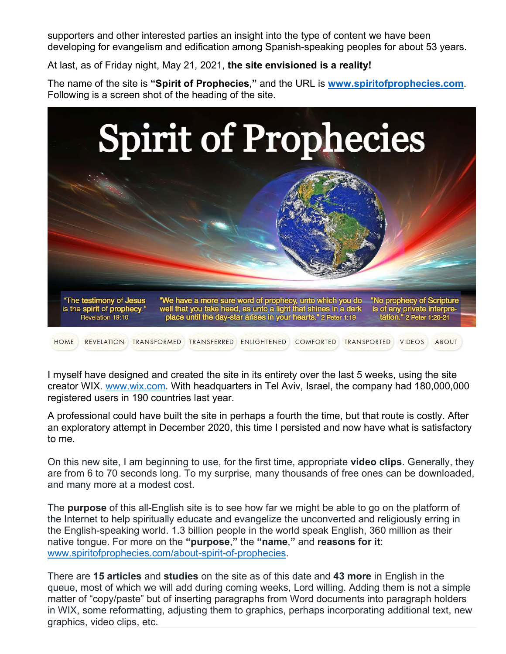supporters and other interested parties an insight into the type of content we have been developing for evangelism and edification among Spanish-speaking peoples for about 53 years.

At last, as of Friday night, May 21, 2021, **the site envisioned is a reality!**

The name of the site is **"Spirit of Prophecies**,**"** and the URL is **[www.spiritofprophecies.com](http://www.spiritofprophecies.com/)**. Following is a screen shot of the heading of the site.



I myself have designed and created the site in its entirety over the last 5 weeks, using the site creator WIX. [www.wix.com.](http://www.wix.com/) With headquarters in Tel Aviv, Israel, the company had 180,000,000 registered users in 190 countries last year.

A professional could have built the site in perhaps a fourth the time, but that route is costly. After an exploratory attempt in December 2020, this time I persisted and now have what is satisfactory to me.

On this new site, I am beginning to use, for the first time, appropriate **video clips**. Generally, they are from 6 to 70 seconds long. To my surprise, many thousands of free ones can be downloaded, and many more at a modest cost.

The **purpose** of this all-English site is to see how far we might be able to go on the platform of the Internet to help spiritually educate and evangelize the unconverted and religiously erring in the English-speaking world. 1.3 billion people in the world speak English, 360 million as their native tongue. For more on the **"purpose**,**"** the **"name**,**"** and **reasons for it**: [www.spiritofprophecies.com/about-spirit-of-prophecies.](http://www.spiritofprophecies.com/about-spirit-of-prophecies)

There are **15 articles** and **studies** on the site as of this date and **43 more** in English in the queue, most of which we will add during coming weeks, Lord willing. Adding them is not a simple matter of "copy/paste" but of inserting paragraphs from Word documents into paragraph holders in WIX, some reformatting, adjusting them to graphics, perhaps incorporating additional text, new graphics, video clips, etc.